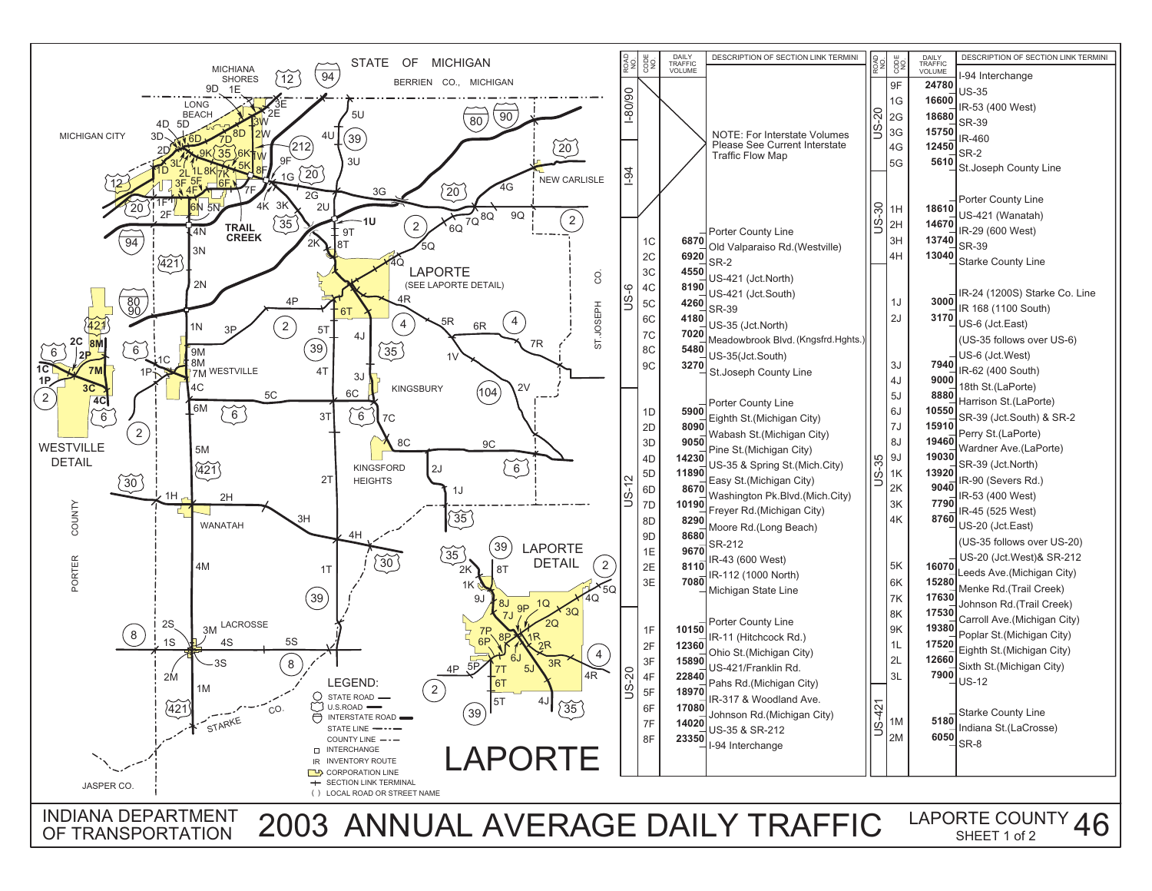